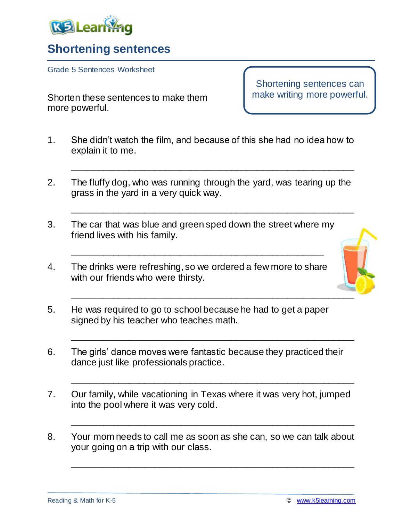

## **Shortening sentences**

Grade 5 Sentences Worksheet

Shorten these sentences to make them more powerful.

Shortening sentences can make writing more powerful.

1. She didn't watch the film, and because of this she had no idea how to explain it to me.

\_\_\_\_\_\_\_\_\_\_\_\_\_\_\_\_\_\_\_\_\_\_\_\_\_\_\_\_\_\_\_\_\_\_\_\_\_\_\_\_\_\_\_\_\_\_\_\_\_\_\_\_\_\_\_

\_\_\_\_\_\_\_\_\_\_\_\_\_\_\_\_\_\_\_\_\_\_\_\_\_\_\_\_\_\_\_\_\_\_\_\_\_\_\_\_\_\_\_\_\_\_\_\_\_\_\_\_\_\_\_

- 2. The fluffy dog, who was running through the yard, was tearing up the grass in the yard in a very quick way.
- 3. The car that was blue and green sped down the street where my friend lives with his family.

\_\_\_\_\_\_\_\_\_\_\_\_\_\_\_\_\_\_\_\_\_\_\_\_\_\_\_\_\_\_\_\_\_\_\_\_\_\_\_\_\_\_\_\_\_\_\_\_\_

4. The drinks were refreshing, so we ordered a few more to share with our friends who were thirsty.



- 5. He was required to go to school because he had to get a paper signed by his teacher who teaches math.
- 6. The girls' dance moves were fantastic because they practiced their dance just like professionals practice.

\_\_\_\_\_\_\_\_\_\_\_\_\_\_\_\_\_\_\_\_\_\_\_\_\_\_\_\_\_\_\_\_\_\_\_\_\_\_\_\_\_\_\_\_\_\_\_\_\_\_\_\_\_\_\_

\_\_\_\_\_\_\_\_\_\_\_\_\_\_\_\_\_\_\_\_\_\_\_\_\_\_\_\_\_\_\_\_\_\_\_\_\_\_\_\_\_\_\_\_\_\_\_\_\_\_\_\_\_\_\_

\_\_\_\_\_\_\_\_\_\_\_\_\_\_\_\_\_\_\_\_\_\_\_\_\_\_\_\_\_\_\_\_\_\_\_\_\_\_\_\_\_\_\_\_\_\_\_\_\_\_\_\_\_\_\_

\_\_\_\_\_\_\_\_\_\_\_\_\_\_\_\_\_\_\_\_\_\_\_\_\_\_\_\_\_\_\_\_\_\_\_\_\_\_\_\_\_\_\_\_\_\_\_\_\_\_\_\_\_\_\_

- 7. Our family, while vacationing in Texas where it was very hot, jumped into the pool where it was very cold.
- 8. Your mom needs to call me as soon as she can, so we can talk about your going on a trip with our class.